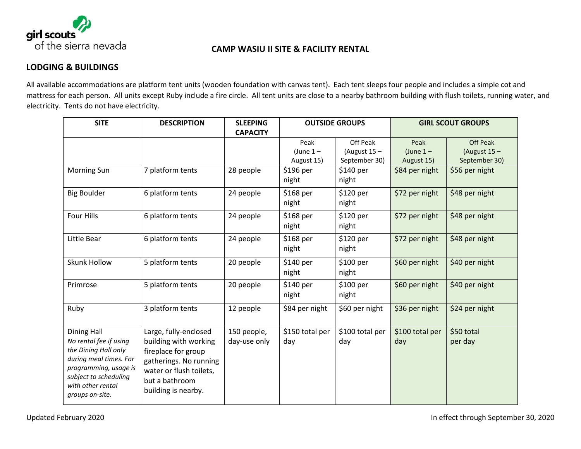

## **CAMP WASIU II SITE & FACILITY RENTAL**

# **LODGING & BUILDINGS**

All available accommodations are platform tent units (wooden foundation with canvas tent). Each tent sleeps four people and includes a simple cot and mattress for each person. All units except Ruby include a fire circle. All tent units are close to a nearby bathroom building with flush toilets, running water, and electricity. Tents do not have electricity.

| <b>SITE</b>                                                                                                                                                                              | <b>DESCRIPTION</b>                                                                                                                                                  | <b>SLEEPING</b>             | <b>OUTSIDE GROUPS</b>            |                                             | <b>GIRL SCOUT GROUPS</b>         |                                                    |
|------------------------------------------------------------------------------------------------------------------------------------------------------------------------------------------|---------------------------------------------------------------------------------------------------------------------------------------------------------------------|-----------------------------|----------------------------------|---------------------------------------------|----------------------------------|----------------------------------------------------|
|                                                                                                                                                                                          |                                                                                                                                                                     | <b>CAPACITY</b>             |                                  |                                             |                                  |                                                    |
|                                                                                                                                                                                          |                                                                                                                                                                     |                             | Peak<br>(June $1-$<br>August 15) | Off Peak<br>(August $15 -$<br>September 30) | Peak<br>(June $1-$<br>August 15) | <b>Off Peak</b><br>(August $15 -$<br>September 30) |
| Morning Sun                                                                                                                                                                              | 7 platform tents                                                                                                                                                    | 28 people                   | \$196 per<br>night               | \$140 per<br>night                          | \$84 per night                   | \$56 per night                                     |
| <b>Big Boulder</b>                                                                                                                                                                       | 6 platform tents                                                                                                                                                    | 24 people                   | \$168 per<br>night               | \$120 per<br>night                          | \$72 per night                   | \$48 per night                                     |
| Four Hills                                                                                                                                                                               | 6 platform tents                                                                                                                                                    | 24 people                   | \$168 per<br>night               | \$120 per<br>night                          | \$72 per night                   | \$48 per night                                     |
| Little Bear                                                                                                                                                                              | 6 platform tents                                                                                                                                                    | 24 people                   | \$168 per<br>night               | \$120 per<br>night                          | \$72 per night                   | \$48 per night                                     |
| <b>Skunk Hollow</b>                                                                                                                                                                      | 5 platform tents                                                                                                                                                    | 20 people                   | \$140 per<br>night               | \$100 per<br>night                          | \$60 per night                   | \$40 per night                                     |
| Primrose                                                                                                                                                                                 | 5 platform tents                                                                                                                                                    | 20 people                   | \$140 per<br>night               | \$100 per<br>night                          | \$60 per night                   | \$40 per night                                     |
| Ruby                                                                                                                                                                                     | 3 platform tents                                                                                                                                                    | 12 people                   | \$84 per night                   | \$60 per night                              | \$36 per night                   | \$24 per night                                     |
| <b>Dining Hall</b><br>No rental fee if using<br>the Dining Hall only<br>during meal times. For<br>programming, usage is<br>subject to scheduling<br>with other rental<br>groups on-site. | Large, fully-enclosed<br>building with working<br>fireplace for group<br>gatherings. No running<br>water or flush toilets,<br>but a bathroom<br>building is nearby. | 150 people,<br>day-use only | \$150 total per<br>day           | \$100 total per<br>day                      | \$100 total per<br>day           | \$50 total<br>per day                              |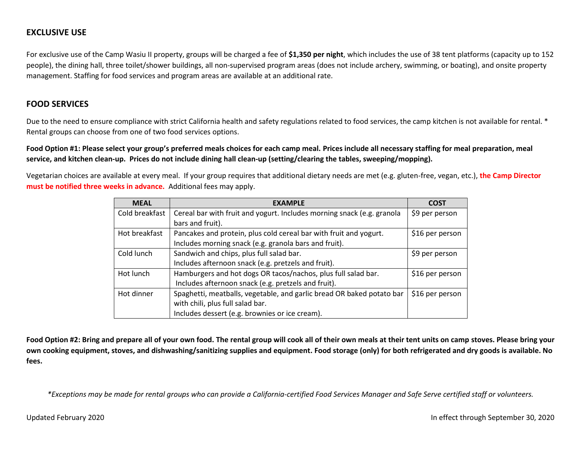### **EXCLUSIVE USE**

For exclusive use of the Camp Wasiu II property, groups will be charged a fee of **\$1,350 per night**, which includes the use of 38 tent platforms (capacity up to 152 people), the dining hall, three toilet/shower buildings, all non-supervised program areas (does not include archery, swimming, or boating), and onsite property management. Staffing for food services and program areas are available at an additional rate.

#### **FOOD SERVICES**

Due to the need to ensure compliance with strict California health and safety regulations related to food services, the camp kitchen is not available for rental. \* Rental groups can choose from one of two food services options.

**Food Option #1: Please select your group's preferred meals choices for each camp meal. Prices include all necessary staffing for meal preparation, meal service, and kitchen clean-up. Prices do not include dining hall clean-up (setting/clearing the tables, sweeping/mopping).**

Vegetarian choices are available at every meal. If your group requires that additional dietary needs are met (e.g. gluten-free, vegan, etc.), **the Camp Director must be notified three weeks in advance.** Additional fees may apply.

| <b>MEAL</b>    | <b>EXAMPLE</b>                                                         | <b>COST</b>     |
|----------------|------------------------------------------------------------------------|-----------------|
| Cold breakfast | Cereal bar with fruit and yogurt. Includes morning snack (e.g. granola | \$9 per person  |
|                | bars and fruit).                                                       |                 |
| Hot breakfast  | Pancakes and protein, plus cold cereal bar with fruit and yogurt.      | \$16 per person |
|                | Includes morning snack (e.g. granola bars and fruit).                  |                 |
| Cold lunch     | Sandwich and chips, plus full salad bar.                               | \$9 per person  |
|                | Includes afternoon snack (e.g. pretzels and fruit).                    |                 |
| Hot lunch      | Hamburgers and hot dogs OR tacos/nachos, plus full salad bar.          | \$16 per person |
|                | Includes afternoon snack (e.g. pretzels and fruit).                    |                 |
| Hot dinner     | Spaghetti, meatballs, vegetable, and garlic bread OR baked potato bar  | \$16 per person |
|                | with chili, plus full salad bar.                                       |                 |
|                | Includes dessert (e.g. brownies or ice cream).                         |                 |

**Food Option #2: Bring and prepare all of your own food. The rental group will cook all of their own meals at their tent units on camp stoves. Please bring your own cooking equipment, stoves, and dishwashing/sanitizing supplies and equipment. Food storage (only) for both refrigerated and dry goods is available. No fees.**

*\*Exceptions may be made for rental groups who can provide a California-certified Food Services Manager and Safe Serve certified staff or volunteers.*